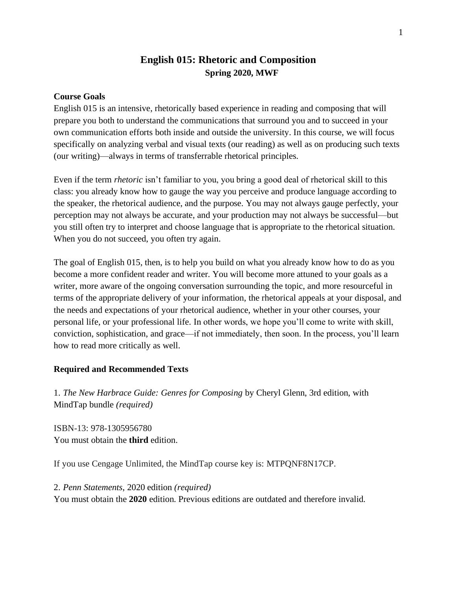## **English 015: Rhetoric and Composition Spring 2020, MWF**

### **Course Goals**

English 015 is an intensive, rhetorically based experience in reading and composing that will prepare you both to understand the communications that surround you and to succeed in your own communication efforts both inside and outside the university. In this course, we will focus specifically on analyzing verbal and visual texts (our reading) as well as on producing such texts (our writing)—always in terms of transferrable rhetorical principles.

Even if the term *rhetoric* isn't familiar to you, you bring a good deal of rhetorical skill to this class: you already know how to gauge the way you perceive and produce language according to the speaker, the rhetorical audience, and the purpose. You may not always gauge perfectly, your perception may not always be accurate, and your production may not always be successful—but you still often try to interpret and choose language that is appropriate to the rhetorical situation. When you do not succeed, you often try again.

The goal of English 015, then, is to help you build on what you already know how to do as you become a more confident reader and writer. You will become more attuned to your goals as a writer, more aware of the ongoing conversation surrounding the topic, and more resourceful in terms of the appropriate delivery of your information, the rhetorical appeals at your disposal, and the needs and expectations of your rhetorical audience, whether in your other courses, your personal life, or your professional life. In other words, we hope you'll come to write with skill, conviction, sophistication, and grace—if not immediately, then soon. In the process, you'll learn how to read more critically as well.

### **Required and Recommended Texts**

1. *The New Harbrace Guide: Genres for Composing* by Cheryl Glenn, 3rd edition, with MindTap bundle *(required)*

ISBN-13: 978-1305956780 You must obtain the **third** edition.

If you use Cengage Unlimited, the MindTap course key is: MTPQNF8N17CP.

2. *Penn Statements*, 2020 edition *(required)* You must obtain the **2020** edition. Previous editions are outdated and therefore invalid.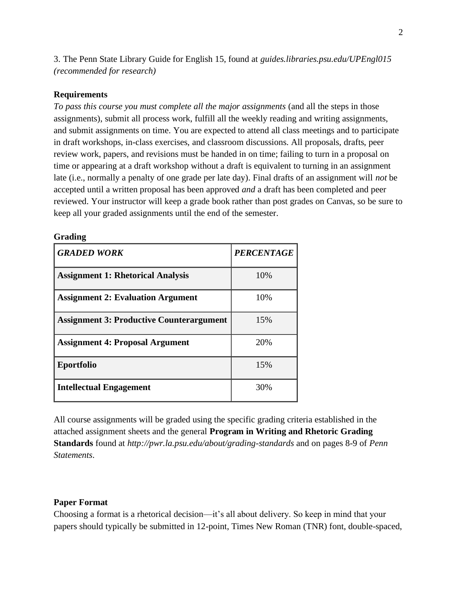3. The Penn State Library Guide for English 15, found at *guides.libraries.psu.edu/UPEngl015 (recommended for research)*

### **Requirements**

*To pass this course you must complete all the major assignments* (and all the steps in those assignments), submit all process work, fulfill all the weekly reading and writing assignments, and submit assignments on time. You are expected to attend all class meetings and to participate in draft workshops, in-class exercises, and classroom discussions. All proposals, drafts, peer review work, papers, and revisions must be handed in on time; failing to turn in a proposal on time or appearing at a draft workshop without a draft is equivalent to turning in an assignment late (i.e., normally a penalty of one grade per late day). Final drafts of an assignment will *not* be accepted until a written proposal has been approved *and* a draft has been completed and peer reviewed. Your instructor will keep a grade book rather than post grades on Canvas, so be sure to keep all your graded assignments until the end of the semester.

#### **Grading**

| <b>GRADED WORK</b>                              | <b>PERCENTAGE</b> |
|-------------------------------------------------|-------------------|
| <b>Assignment 1: Rhetorical Analysis</b>        | 10%               |
| <b>Assignment 2: Evaluation Argument</b>        | 10%               |
| <b>Assignment 3: Productive Counterargument</b> | 15%               |
| <b>Assignment 4: Proposal Argument</b>          | 20%               |
| <b>Eportfolio</b>                               | 15%               |
| <b>Intellectual Engagement</b>                  | 30%               |

All course assignments will be graded using the specific grading criteria established in the attached assignment sheets and the general **Program in Writing and Rhetoric Grading Standards** found at *http://pwr.la.psu.edu/about/grading-standards* and on pages 8-9 of *Penn Statements*.

### **Paper Format**

Choosing a format is a rhetorical decision—it's all about delivery. So keep in mind that your papers should typically be submitted in 12-point, Times New Roman (TNR) font, double-spaced,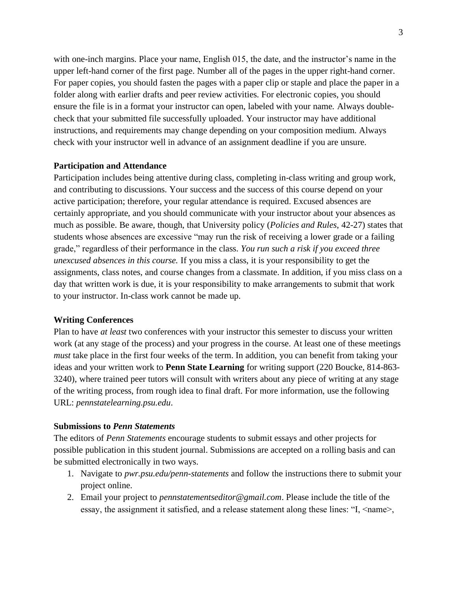with one-inch margins. Place your name, English 015, the date, and the instructor's name in the upper left-hand corner of the first page. Number all of the pages in the upper right-hand corner. For paper copies, you should fasten the pages with a paper clip or staple and place the paper in a folder along with earlier drafts and peer review activities. For electronic copies, you should ensure the file is in a format your instructor can open, labeled with your name. Always doublecheck that your submitted file successfully uploaded. Your instructor may have additional instructions, and requirements may change depending on your composition medium. Always check with your instructor well in advance of an assignment deadline if you are unsure.

### **Participation and Attendance**

Participation includes being attentive during class, completing in-class writing and group work, and contributing to discussions. Your success and the success of this course depend on your active participation; therefore, your regular attendance is required. Excused absences are certainly appropriate, and you should communicate with your instructor about your absences as much as possible. Be aware, though, that University policy (*Policies and Rules*, 42-27) states that students whose absences are excessive "may run the risk of receiving a lower grade or a failing grade," regardless of their performance in the class. *You run such a risk if you exceed three unexcused absences in this course.* If you miss a class, it is your responsibility to get the assignments, class notes, and course changes from a classmate. In addition, if you miss class on a day that written work is due, it is your responsibility to make arrangements to submit that work to your instructor. In-class work cannot be made up.

### **Writing Conferences**

Plan to have *at least* two conferences with your instructor this semester to discuss your written work (at any stage of the process) and your progress in the course. At least one of these meetings *must* take place in the first four weeks of the term. In addition, you can benefit from taking your ideas and your written work to **Penn State Learning** for writing support (220 Boucke, 814-863- 3240), where trained peer tutors will consult with writers about any piece of writing at any stage of the writing process, from rough idea to final draft. For more information, use the following URL: *pennstatelearning.psu.edu*.

### **Submissions to** *Penn Statements*

The editors of *Penn Statements* encourage students to submit essays and other projects for possible publication in this student journal. Submissions are accepted on a rolling basis and can be submitted electronically in two ways.

- 1. Navigate to *pwr.psu.edu/penn-statements* and follow the instructions there to submit your project online.
- 2. Email your project to *pennstatementseditor@gmail.com*. Please include the title of the essay, the assignment it satisfied, and a release statement along these lines: "I,  $\leq$ name $\geq$ ,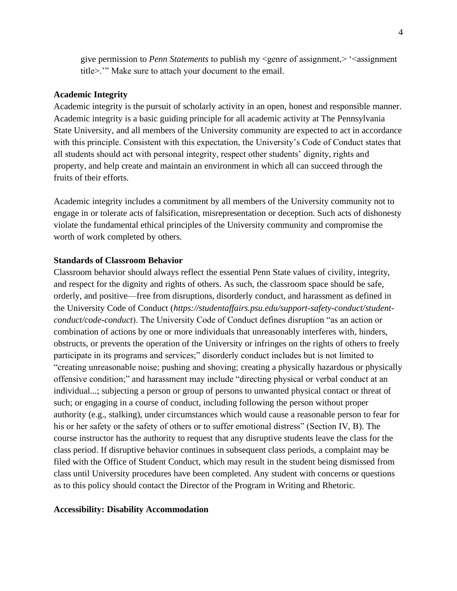give permission to *Penn Statements* to publish my <genre of assignment,> '<assignment title>.'" Make sure to attach your document to the email.

### **Academic Integrity**

Academic integrity is the pursuit of scholarly activity in an open, honest and responsible manner. Academic integrity is a basic guiding principle for all academic activity at The Pennsylvania State University, and all members of the University community are expected to act in accordance with this principle. Consistent with this expectation, the University's Code of Conduct states that all students should act with personal integrity, respect other students' dignity, rights and property, and help create and maintain an environment in which all can succeed through the fruits of their efforts.

Academic integrity includes a commitment by all members of the University community not to engage in or tolerate acts of falsification, misrepresentation or deception. Such acts of dishonesty violate the fundamental ethical principles of the University community and compromise the worth of work completed by others.

#### **Standards of Classroom Behavior**

Classroom behavior should always reflect the essential Penn State values of civility, integrity, and respect for the dignity and rights of others. As such, the classroom space should be safe, orderly, and positive—free from disruptions, disorderly conduct, and harassment as defined in the University Code of Conduct (*https://studentaffairs.psu.edu/support-safety-conduct/studentconduct/code-conduct*). The University Code of Conduct defines disruption "as an action or combination of actions by one or more individuals that unreasonably interferes with, hinders, obstructs, or prevents the operation of the University or infringes on the rights of others to freely participate in its programs and services;" disorderly conduct includes but is not limited to "creating unreasonable noise; pushing and shoving; creating a physically hazardous or physically offensive condition;" and harassment may include "directing physical or verbal conduct at an individual...; subjecting a person or group of persons to unwanted physical contact or threat of such; or engaging in a course of conduct, including following the person without proper authority (e.g., stalking), under circumstances which would cause a reasonable person to fear for his or her safety or the safety of others or to suffer emotional distress" (Section IV, B). The course instructor has the authority to request that any disruptive students leave the class for the class period. If disruptive behavior continues in subsequent class periods, a complaint may be filed with the Office of Student Conduct, which may result in the student being dismissed from class until University procedures have been completed. Any student with concerns or questions as to this policy should contact the Director of the Program in Writing and Rhetoric.

#### **Accessibility: Disability Accommodation**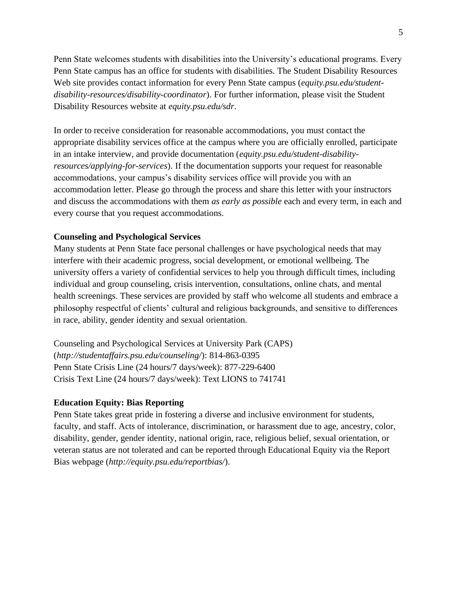Penn State welcomes students with disabilities into the University's educational programs. Every Penn State campus has an office for students with disabilities. The Student Disability Resources Web site provides contact information for every Penn State campus (*equity.psu.edu/studentdisability-resources/disability-coordinator*). For further information, please visit the Student Disability Resources website at *equity.psu.edu/sdr*.

In order to receive consideration for reasonable accommodations, you must contact the appropriate disability services office at the campus where you are officially enrolled, participate in an intake interview, and provide documentation (*equity.psu.edu/student-disabilityresources/applying-for-services*). If the documentation supports your request for reasonable accommodations, your campus's disability services office will provide you with an accommodation letter. Please go through the process and share this letter with your instructors and discuss the accommodations with them *as early as possible* each and every term, in each and every course that you request accommodations.

### **Counseling and Psychological Services**

Many students at Penn State face personal challenges or have psychological needs that may interfere with their academic progress, social development, or emotional wellbeing. The university offers a variety of confidential services to help you through difficult times, including individual and group counseling, crisis intervention, consultations, online chats, and mental health screenings. These services are provided by staff who welcome all students and embrace a philosophy respectful of clients' cultural and religious backgrounds, and sensitive to differences in race, ability, gender identity and sexual orientation.

Counseling and Psychological Services at University Park (CAPS) (*http://studentaffairs.psu.edu/counseling/*): 814-863-0395 Penn State Crisis Line (24 hours/7 days/week): 877-229-6400 Crisis Text Line (24 hours/7 days/week): Text LIONS to 741741

### **Education Equity: Bias Reporting**

Penn State takes great pride in fostering a diverse and inclusive environment for students, faculty, and staff. Acts of intolerance, discrimination, or harassment due to age, ancestry, color, disability, gender, gender identity, national origin, race, religious belief, sexual orientation, or veteran status are not tolerated and can be reported through Educational Equity via the Report Bias webpage (*http://equity.psu.edu/reportbias/*).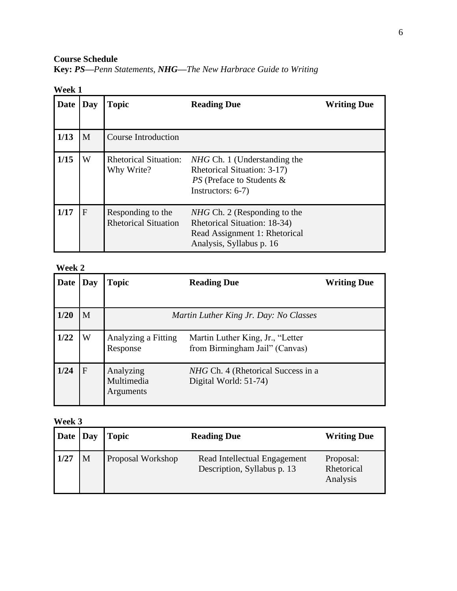**Course Schedule**

|  |  |  | Key: PS-Penn Statements, NHG-The New Harbrace Guide to Writing |  |  |  |  |  |  |
|--|--|--|----------------------------------------------------------------|--|--|--|--|--|--|
|--|--|--|----------------------------------------------------------------|--|--|--|--|--|--|

| Date | Day         | <b>Topic</b>                                     | <b>Reading Due</b>                                                                                                               | <b>Writing Due</b> |
|------|-------------|--------------------------------------------------|----------------------------------------------------------------------------------------------------------------------------------|--------------------|
| 1/13 | M           | Course Introduction                              |                                                                                                                                  |                    |
| 1/15 | W           | <b>Rhetorical Situation:</b><br>Why Write?       | <i>NHG</i> Ch. 1 (Understanding the<br>Rhetorical Situation: 3-17)<br>PS (Preface to Students &<br>Instructors: $6-7$ )          |                    |
| 1/17 | $\mathbf F$ | Responding to the<br><b>Rhetorical Situation</b> | <i>NHG</i> Ch. 2 (Responding to the<br>Rhetorical Situation: 18-34)<br>Read Assignment 1: Rhetorical<br>Analysis, Syllabus p. 16 |                    |

### **Week 2**

| <b>Date</b> | Day | <b>Topic</b>                         | <b>Reading Due</b>                                                 | <b>Writing Due</b> |
|-------------|-----|--------------------------------------|--------------------------------------------------------------------|--------------------|
|             |     |                                      |                                                                    |                    |
| 1/20        | M   |                                      | Martin Luther King Jr. Day: No Classes                             |                    |
| 1/22        | W   | Analyzing a Fitting<br>Response      | Martin Luther King, Jr., "Letter<br>from Birmingham Jail" (Canvas) |                    |
| 1/24        | F   | Analyzing<br>Multimedia<br>Arguments | NHG Ch. 4 (Rhetorical Success in a<br>Digital World: 51-74)        |                    |

| Date Day     |   | <b>Topic</b>             | <b>Reading Due</b>                                          | <b>Writing Due</b>                  |
|--------------|---|--------------------------|-------------------------------------------------------------|-------------------------------------|
| $\vert$ 1/27 | M | <b>Proposal Workshop</b> | Read Intellectual Engagement<br>Description, Syllabus p. 13 | Proposal:<br>Rhetorical<br>Analysis |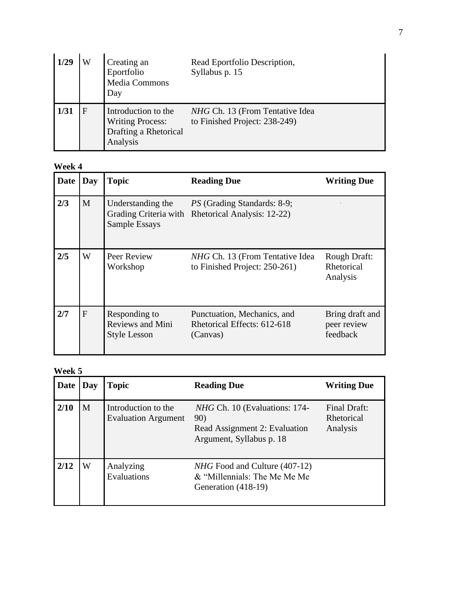| 1/29 | Creating an<br>Eportfolio<br><b>Media Commons</b><br>Day                            | Read Eportfolio Description,<br>Syllabus p. 15                   |
|------|-------------------------------------------------------------------------------------|------------------------------------------------------------------|
|      | Introduction to the<br><b>Writing Process:</b><br>Drafting a Rhetorical<br>Analysis | NHG Ch. 13 (From Tentative Idea<br>to Finished Project: 238-249) |

| Date | Day | <b>Topic</b>                                                    | <b>Reading Due</b>                                                                      | <b>Writing Due</b>                         |
|------|-----|-----------------------------------------------------------------|-----------------------------------------------------------------------------------------|--------------------------------------------|
| 2/3  | M   | Understanding the<br>Sample Essays                              | <i>PS</i> (Grading Standards: 8-9;<br>Grading Criteria with Rhetorical Analysis: 12-22) |                                            |
| 2/5  | W   | Peer Review<br>Workshop                                         | <i>NHG</i> Ch. 13 (From Tentative Idea<br>to Finished Project: 250-261)                 | Rough Draft:<br>Rhetorical<br>Analysis     |
| 2/7  | F   | Responding to<br><b>Reviews and Mini</b><br><b>Style Lesson</b> | Punctuation, Mechanics, and<br>Rhetorical Effects: 612-618<br>(Canvas)                  | Bring draft and<br>peer review<br>feedback |

| Date | Day | <b>Topic</b>                                      | <b>Reading Due</b>                                                                                | <b>Writing Due</b>                     |
|------|-----|---------------------------------------------------|---------------------------------------------------------------------------------------------------|----------------------------------------|
| 2/10 | M   | Introduction to the<br><b>Evaluation Argument</b> | NHG Ch. 10 (Evaluations: 174-<br>90)<br>Read Assignment 2: Evaluation<br>Argument, Syllabus p. 18 | Final Draft:<br>Rhetorical<br>Analysis |
| 2/12 | W   | Analyzing<br>Evaluations                          | <i>NHG</i> Food and Culture (407-12)<br>& "Millennials: The Me Me Me<br>Generation (418-19)       |                                        |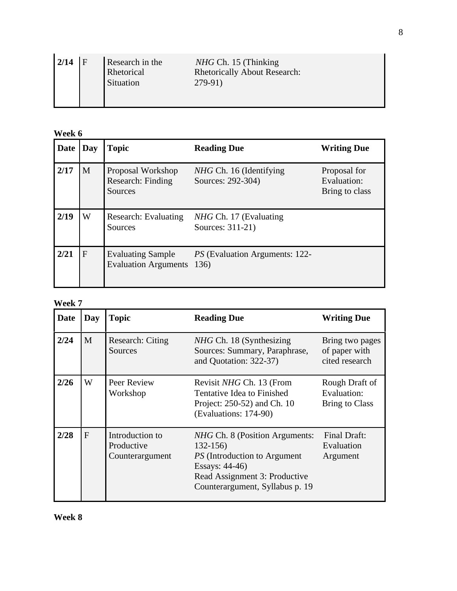| 2/14 | $\mathbf{F}$ | Research in the<br>Rhetorical<br>Situation | $NHG$ Ch. 15 (Thinking)<br><b>Rhetorically About Research:</b><br>279-91) |
|------|--------------|--------------------------------------------|---------------------------------------------------------------------------|
|------|--------------|--------------------------------------------|---------------------------------------------------------------------------|

| Date | Day         | <b>Topic</b>                                            | <b>Reading Due</b>                                | <b>Writing Due</b>                            |
|------|-------------|---------------------------------------------------------|---------------------------------------------------|-----------------------------------------------|
| 2/17 | M           | Proposal Workshop<br>Research: Finding<br>Sources       | NHG Ch. 16 (Identifying<br>Sources: 292-304)      | Proposal for<br>Evaluation:<br>Bring to class |
| 2/19 | W           | Research: Evaluating<br><b>Sources</b>                  | <i>NHG</i> Ch. 17 (Evaluating<br>Sources: 311-21) |                                               |
| 2/21 | $\mathbf F$ | <b>Evaluating Sample</b><br><b>Evaluation Arguments</b> | <i>PS</i> (Evaluation Arguments: 122-<br>136)     |                                               |

| Date | <b>Day</b> | <b>Topic</b>                                     | <b>Reading Due</b>                                                                                                                                                                 | <b>Writing Due</b>                                 |
|------|------------|--------------------------------------------------|------------------------------------------------------------------------------------------------------------------------------------------------------------------------------------|----------------------------------------------------|
| 2/24 | M          | <b>Research: Citing</b><br>Sources               | <i>NHG</i> Ch. 18 (Synthesizing<br>Sources: Summary, Paraphrase,<br>and Quotation: 322-37)                                                                                         | Bring two pages<br>of paper with<br>cited research |
| 2/26 | W          | Peer Review<br>Workshop                          | Revisit NHG Ch. 13 (From<br>Tentative Idea to Finished<br>Project: 250-52) and Ch. 10<br>(Evaluations: 174-90)                                                                     | Rough Draft of<br>Evaluation:<br>Bring to Class    |
| 2/28 | $F_{\rm}$  | Introduction to<br>Productive<br>Counterargument | <i>NHG</i> Ch. 8 (Position Arguments:<br>$132 - 156$<br><i>PS</i> (Introduction to Argument)<br>Essays: 44-46)<br>Read Assignment 3: Productive<br>Counterargument, Syllabus p. 19 | Final Draft:<br>Evaluation<br>Argument             |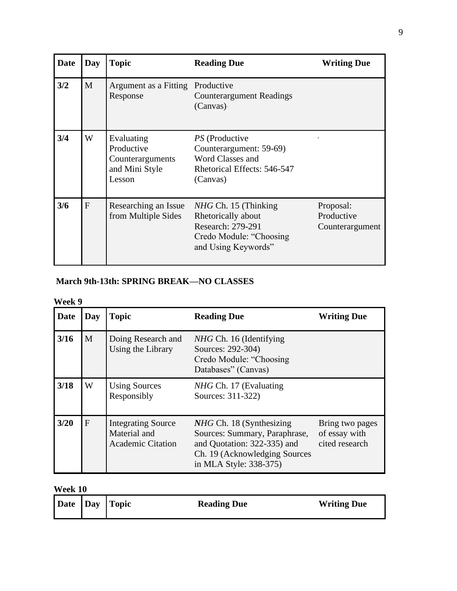| <b>Date</b> | Day | <b>Topic</b>                                                             | <b>Reading Due</b>                                                                                                  | <b>Writing Due</b>                         |
|-------------|-----|--------------------------------------------------------------------------|---------------------------------------------------------------------------------------------------------------------|--------------------------------------------|
| 3/2         | M   | Argument as a Fitting<br>Response                                        | Productive<br><b>Counterargument Readings</b><br>(Canvas)                                                           |                                            |
| 3/4         | W   | Evaluating<br>Productive<br>Counterarguments<br>and Mini Style<br>Lesson | PS (Productive<br>Counterargument: 59-69)<br>Word Classes and<br>Rhetorical Effects: 546-547<br>(Canvas)            |                                            |
| 3/6         | F   | Researching an Issue<br>from Multiple Sides                              | $NHG$ Ch. 15 (Thinking<br>Rhetorically about<br>Research: 279-291<br>Credo Module: "Choosing<br>and Using Keywords" | Proposal:<br>Productive<br>Counterargument |

## **March 9th-13th: SPRING BREAK—NO CLASSES**

| Week 9 |              |                                                                       |                                                                                                                                                            |                                                    |  |  |
|--------|--------------|-----------------------------------------------------------------------|------------------------------------------------------------------------------------------------------------------------------------------------------------|----------------------------------------------------|--|--|
| Date   | Day          | <b>Topic</b>                                                          | <b>Reading Due</b>                                                                                                                                         | <b>Writing Due</b>                                 |  |  |
| 3/16   | M            | Doing Research and<br>Using the Library                               | <i>NHG</i> Ch. 16 (Identifying<br>Sources: 292-304)<br>Credo Module: "Choosing<br>Databases" (Canvas)                                                      |                                                    |  |  |
| 3/18   | W            | <b>Using Sources</b><br>Responsibly                                   | NHG Ch. 17 (Evaluating<br>Sources: 311-322)                                                                                                                |                                                    |  |  |
| $3/20$ | $\mathbf{F}$ | <b>Integrating Source</b><br>Material and<br><b>Academic Citation</b> | <i>NHG</i> Ch. 18 (Synthesizing<br>Sources: Summary, Paraphrase,<br>and Quotation: 322-335) and<br>Ch. 19 (Acknowledging Sources<br>in MLA Style: 338-375) | Bring two pages<br>of essay with<br>cited research |  |  |

| Date Day Topic<br><b>Writing Due</b><br><b>Reading Due</b> |  |
|------------------------------------------------------------|--|
|------------------------------------------------------------|--|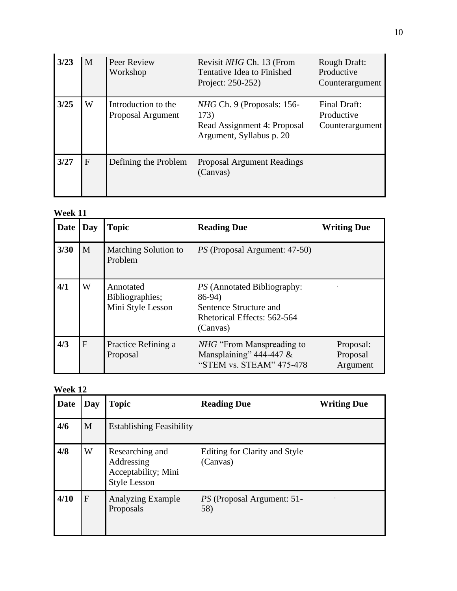| 3/23 | M            | Peer Review<br>Workshop                  | Revisit NHG Ch. 13 (From<br>Tentative Idea to Finished<br>Project: 250-252)                     | Rough Draft:<br>Productive<br>Counterargument |
|------|--------------|------------------------------------------|-------------------------------------------------------------------------------------------------|-----------------------------------------------|
| 3/25 | W            | Introduction to the<br>Proposal Argument | $NHG$ Ch. 9 (Proposals: 156-<br>173)<br>Read Assignment 4: Proposal<br>Argument, Syllabus p. 20 | Final Draft:<br>Productive<br>Counterargument |
| 3/27 | $\mathbf{F}$ | Defining the Problem                     | <b>Proposal Argument Readings</b><br>(Canvas)                                                   |                                               |

| Date | Day | <b>Topic</b>                                      | <b>Reading Due</b>                                                                                                | <b>Writing Due</b>                |
|------|-----|---------------------------------------------------|-------------------------------------------------------------------------------------------------------------------|-----------------------------------|
| 3/30 | M   | Matching Solution to<br>Problem                   | <i>PS</i> (Proposal Argument: 47-50)                                                                              |                                   |
| 4/1  | W   | Annotated<br>Bibliographies;<br>Mini Style Lesson | <i>PS</i> (Annotated Bibliography:<br>86-94)<br>Sentence Structure and<br>Rhetorical Effects: 562-564<br>(Canvas) |                                   |
| 4/3  | F   | Practice Refining a<br>Proposal                   | <i>NHG</i> "From Manspreading to"<br>Mansplaining" $444-447$ &<br>"STEM vs. STEAM" 475-478                        | Proposal:<br>Proposal<br>Argument |

| Date | Day | <b>Topic</b>                                                                | <b>Reading Due</b>                        | <b>Writing Due</b> |
|------|-----|-----------------------------------------------------------------------------|-------------------------------------------|--------------------|
| 4/6  | M   | <b>Establishing Feasibility</b>                                             |                                           |                    |
| 4/8  | W   | Researching and<br>Addressing<br>Acceptability; Mini<br><b>Style Lesson</b> | Editing for Clarity and Style<br>(Canvas) |                    |
| 4/10 | F   | <b>Analyzing Example</b><br>Proposals                                       | <i>PS</i> (Proposal Argument: 51-<br>58)  |                    |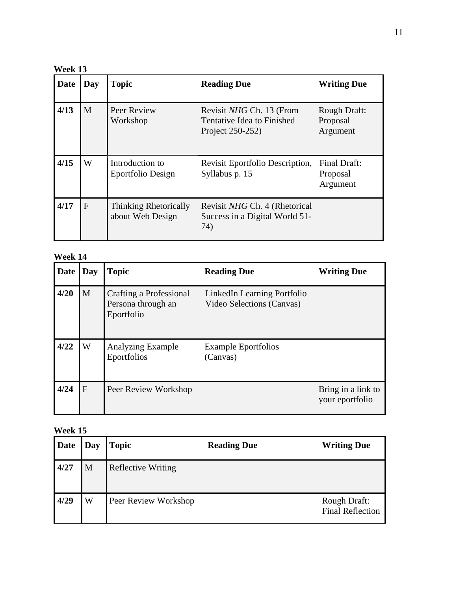**Week 13**

| Date | Day          | <b>Topic</b>                                     | <b>Reading Due</b>                                                         | <b>Writing Due</b>                          |
|------|--------------|--------------------------------------------------|----------------------------------------------------------------------------|---------------------------------------------|
| 4/13 | M            | Peer Review<br>Workshop                          | Revisit NHG Ch. 13 (From<br>Tentative Idea to Finished<br>Project 250-252) | <b>Rough Draft:</b><br>Proposal<br>Argument |
| 4/15 | W            | Introduction to<br>Eportfolio Design             | Revisit Eportfolio Description,<br>Syllabus p. 15                          | Final Draft:<br>Proposal<br>Argument        |
| 4/17 | $\mathbf{F}$ | <b>Thinking Rhetorically</b><br>about Web Design | Revisit NHG Ch. 4 (Rhetorical<br>Success in a Digital World 51-<br>74)     |                                             |

| Date | Day | <b>Topic</b>                                                | <b>Reading Due</b>                                       | <b>Writing Due</b>                    |
|------|-----|-------------------------------------------------------------|----------------------------------------------------------|---------------------------------------|
| 4/20 | M   | Crafting a Professional<br>Persona through an<br>Eportfolio | LinkedIn Learning Portfolio<br>Video Selections (Canvas) |                                       |
| 4/22 | W   | <b>Analyzing Example</b><br>Eportfolios                     | <b>Example Eportfolios</b><br>(Canvas)                   |                                       |
| 4/24 | F   | Peer Review Workshop                                        |                                                          | Bring in a link to<br>your eportfolio |

| <b>Date</b> | Day | <b>Topic</b>              | <b>Reading Due</b> | <b>Writing Due</b>                             |
|-------------|-----|---------------------------|--------------------|------------------------------------------------|
| 4/27        | M   | <b>Reflective Writing</b> |                    |                                                |
| 4/29        | W   | Peer Review Workshop      |                    | <b>Rough Draft:</b><br><b>Final Reflection</b> |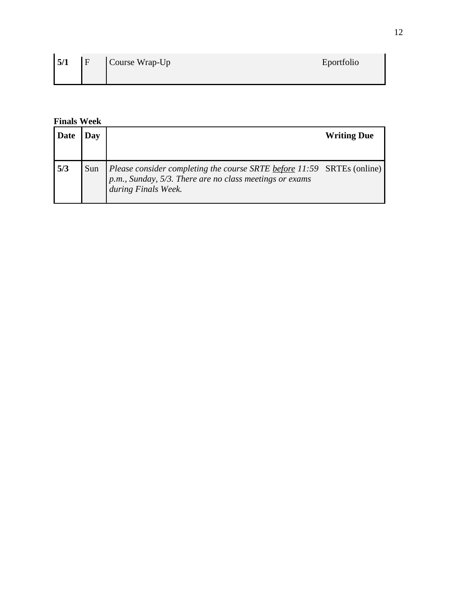|  | $5/1$ $F$ Course Wrap-Up | Eportfolio |
|--|--------------------------|------------|
|  |                          |            |

## **Finals Week**

| Date | )av |                                                                                                                                                         | <b>Writing Due</b> |
|------|-----|---------------------------------------------------------------------------------------------------------------------------------------------------------|--------------------|
| 5/3  | Sun | Please consider completing the course SRTE $before 11:59$ SRTEs (online) p.m., Sunday, 5/3. There are no class meetings or exams<br>during Finals Week. |                    |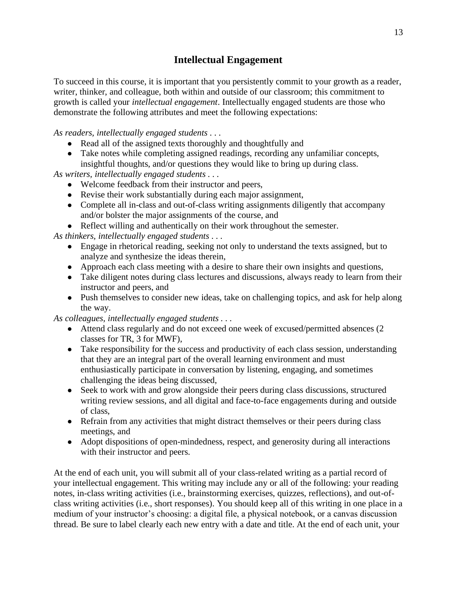## **Intellectual Engagement**

To succeed in this course, it is important that you persistently commit to your growth as a reader, writer, thinker, and colleague, both within and outside of our classroom; this commitment to growth is called your *intellectual engagement*. Intellectually engaged students are those who demonstrate the following attributes and meet the following expectations:

*As readers, intellectually engaged students . . .* 

- Read all of the assigned texts thoroughly and thoughtfully and
- Take notes while completing assigned readings, recording any unfamiliar concepts, insightful thoughts, and/or questions they would like to bring up during class.

*As writers, intellectually engaged students . . .* 

- Welcome feedback from their instructor and peers,
- Revise their work substantially during each major assignment,
- Complete all in-class and out-of-class writing assignments diligently that accompany and/or bolster the major assignments of the course, and
- Reflect willing and authentically on their work throughout the semester.

*As thinkers, intellectually engaged students . . .* 

- Engage in rhetorical reading, seeking not only to understand the texts assigned, but to analyze and synthesize the ideas therein,
- Approach each class meeting with a desire to share their own insights and questions,
- Take diligent notes during class lectures and discussions, always ready to learn from their instructor and peers, and
- Push themselves to consider new ideas, take on challenging topics, and ask for help along the way.

*As colleagues, intellectually engaged students . . .* 

- Attend class regularly and do not exceed one week of excused/permitted absences (2) classes for TR, 3 for MWF),
- Take responsibility for the success and productivity of each class session, understanding that they are an integral part of the overall learning environment and must enthusiastically participate in conversation by listening, engaging, and sometimes challenging the ideas being discussed,
- Seek to work with and grow alongside their peers during class discussions, structured writing review sessions, and all digital and face-to-face engagements during and outside of class,
- Refrain from any activities that might distract themselves or their peers during class meetings, and
- Adopt dispositions of open-mindedness, respect, and generosity during all interactions with their instructor and peers.

At the end of each unit, you will submit all of your class-related writing as a partial record of your intellectual engagement. This writing may include any or all of the following: your reading notes, in-class writing activities (i.e., brainstorming exercises, quizzes, reflections), and out-ofclass writing activities (i.e., short responses). You should keep all of this writing in one place in a medium of your instructor's choosing: a digital file, a physical notebook, or a canvas discussion thread. Be sure to label clearly each new entry with a date and title. At the end of each unit, your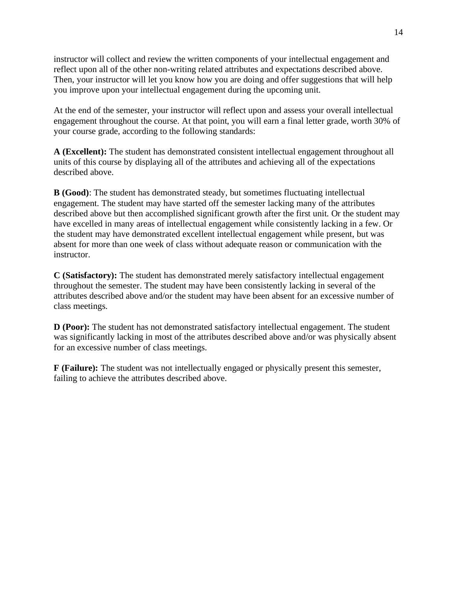instructor will collect and review the written components of your intellectual engagement and reflect upon all of the other non-writing related attributes and expectations described above. Then, your instructor will let you know how you are doing and offer suggestions that will help you improve upon your intellectual engagement during the upcoming unit.

At the end of the semester, your instructor will reflect upon and assess your overall intellectual engagement throughout the course. At that point, you will earn a final letter grade, worth 30% of your course grade, according to the following standards:

**A (Excellent):** The student has demonstrated consistent intellectual engagement throughout all units of this course by displaying all of the attributes and achieving all of the expectations described above.

**B (Good)**: The student has demonstrated steady, but sometimes fluctuating intellectual engagement. The student may have started off the semester lacking many of the attributes described above but then accomplished significant growth after the first unit. Or the student may have excelled in many areas of intellectual engagement while consistently lacking in a few. Or the student may have demonstrated excellent intellectual engagement while present, but was absent for more than one week of class without adequate reason or communication with the instructor.

**C (Satisfactory):** The student has demonstrated merely satisfactory intellectual engagement throughout the semester. The student may have been consistently lacking in several of the attributes described above and/or the student may have been absent for an excessive number of class meetings.

**D** (Poor): The student has not demonstrated satisfactory intellectual engagement. The student was significantly lacking in most of the attributes described above and/or was physically absent for an excessive number of class meetings.

**F (Failure):** The student was not intellectually engaged or physically present this semester, failing to achieve the attributes described above.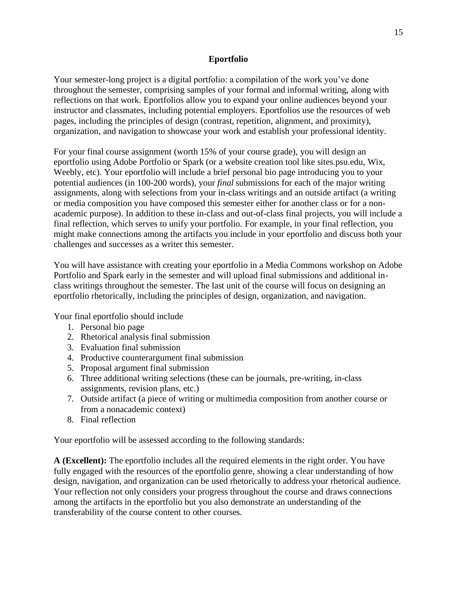### **Eportfolio**

Your semester-long project is a digital portfolio: a compilation of the work you've done throughout the semester, comprising samples of your formal and informal writing, along with reflections on that work. Eportfolios allow you to expand your online audiences beyond your instructor and classmates, including potential employers. Eportfolios use the resources of web pages, including the principles of design (contrast, repetition, alignment, and proximity), organization, and navigation to showcase your work and establish your professional identity.

For your final course assignment (worth 15% of your course grade), you will design an eportfolio using Adobe Portfolio or Spark (or a website creation tool like sites.psu.edu, Wix, Weebly, etc). Your eportfolio will include a brief personal bio page introducing you to your potential audiences (in 100-200 words), your *final* submissions for each of the major writing assignments, along with selections from your in-class writings and an outside artifact (a writing or media composition you have composed this semester either for another class or for a nonacademic purpose). In addition to these in-class and out-of-class final projects, you will include a final reflection, which serves to unify your portfolio. For example, in your final reflection, you might make connections among the artifacts you include in your eportfolio and discuss both your challenges and successes as a writer this semester.

You will have assistance with creating your eportfolio in a Media Commons workshop on Adobe Portfolio and Spark early in the semester and will upload final submissions and additional inclass writings throughout the semester. The last unit of the course will focus on designing an eportfolio rhetorically, including the principles of design, organization, and navigation.

Your final eportfolio should include

- 1. Personal bio page
- 2. Rhetorical analysis final submission
- 3. Evaluation final submission
- 4. Productive counterargument final submission
- 5. Proposal argument final submission
- 6. Three additional writing selections (these can be journals, pre-writing, in-class assignments, revision plans, etc.)
- 7. Outside artifact (a piece of writing or multimedia composition from another course or from a nonacademic context)
- 8. Final reflection

Your eportfolio will be assessed according to the following standards:

**A (Excellent):** The eportfolio includes all the required elements in the right order. You have fully engaged with the resources of the eportfolio genre, showing a clear understanding of how design, navigation, and organization can be used rhetorically to address your rhetorical audience. Your reflection not only considers your progress throughout the course and draws connections among the artifacts in the eportfolio but you also demonstrate an understanding of the transferability of the course content to other courses.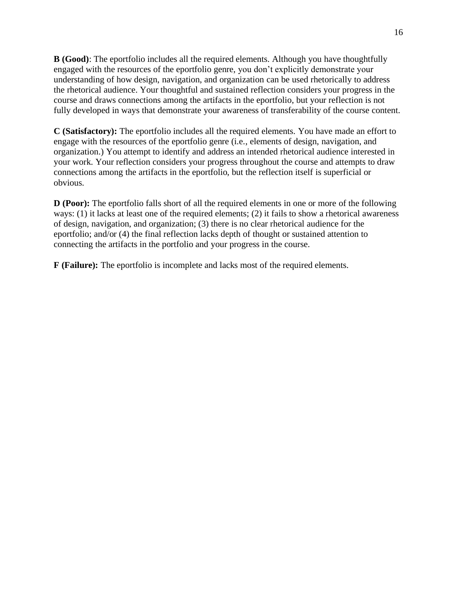**B (Good)**: The eportfolio includes all the required elements. Although you have thoughtfully engaged with the resources of the eportfolio genre, you don't explicitly demonstrate your understanding of how design, navigation, and organization can be used rhetorically to address the rhetorical audience. Your thoughtful and sustained reflection considers your progress in the course and draws connections among the artifacts in the eportfolio, but your reflection is not fully developed in ways that demonstrate your awareness of transferability of the course content.

**C (Satisfactory):** The eportfolio includes all the required elements. You have made an effort to engage with the resources of the eportfolio genre (i.e., elements of design, navigation, and organization.) You attempt to identify and address an intended rhetorical audience interested in your work. Your reflection considers your progress throughout the course and attempts to draw connections among the artifacts in the eportfolio, but the reflection itself is superficial or obvious.

**D** (**Poor**): The eportfolio falls short of all the required elements in one or more of the following ways: (1) it lacks at least one of the required elements; (2) it fails to show a rhetorical awareness of design, navigation, and organization; (3) there is no clear rhetorical audience for the eportfolio; and/or (4) the final reflection lacks depth of thought or sustained attention to connecting the artifacts in the portfolio and your progress in the course.

**F (Failure):** The eportfolio is incomplete and lacks most of the required elements.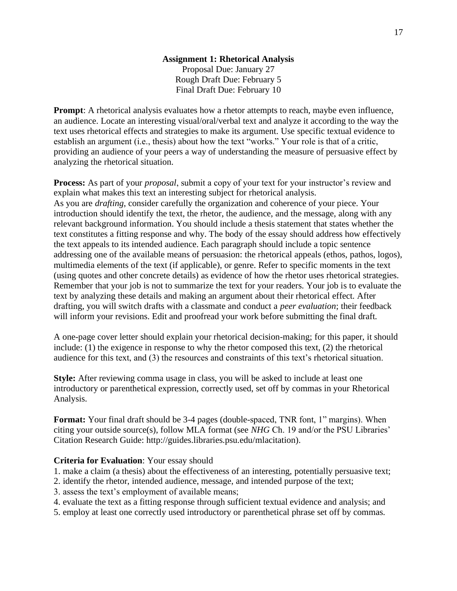## **Assignment 1: Rhetorical Analysis**

Proposal Due: January 27 Rough Draft Due: February 5 Final Draft Due: February 10

**Prompt:** A rhetorical analysis evaluates how a rhetor attempts to reach, maybe even influence, an audience. Locate an interesting visual/oral/verbal text and analyze it according to the way the text uses rhetorical effects and strategies to make its argument. Use specific textual evidence to establish an argument (i.e., thesis) about how the text "works." Your role is that of a critic, providing an audience of your peers a way of understanding the measure of persuasive effect by analyzing the rhetorical situation.

**Process:** As part of your *proposal*, submit a copy of your text for your instructor's review and explain what makes this text an interesting subject for rhetorical analysis. As you are *drafting*, consider carefully the organization and coherence of your piece. Your introduction should identify the text, the rhetor, the audience, and the message, along with any relevant background information. You should include a thesis statement that states whether the text constitutes a fitting response and why. The body of the essay should address how effectively the text appeals to its intended audience. Each paragraph should include a topic sentence addressing one of the available means of persuasion: the rhetorical appeals (ethos, pathos, logos), multimedia elements of the text (if applicable), or genre. Refer to specific moments in the text (using quotes and other concrete details) as evidence of how the rhetor uses rhetorical strategies. Remember that your job is not to summarize the text for your readers. Your job is to evaluate the text by analyzing these details and making an argument about their rhetorical effect. After drafting, you will switch drafts with a classmate and conduct a *peer evaluation*; their feedback will inform your revisions. Edit and proofread your work before submitting the final draft.

A one-page cover letter should explain your rhetorical decision-making; for this paper, it should include: (1) the exigence in response to why the rhetor composed this text, (2) the rhetorical audience for this text, and (3) the resources and constraints of this text's rhetorical situation.

**Style:** After reviewing comma usage in class, you will be asked to include at least one introductory or parenthetical expression, correctly used, set off by commas in your Rhetorical Analysis.

**Format:** Your final draft should be 3-4 pages (double-spaced, TNR font, 1" margins). When citing your outside source(s), follow MLA format (see *NHG* Ch. 19 and/or the PSU Libraries' Citation Research Guide: http://guides.libraries.psu.edu/mlacitation).

### **Criteria for Evaluation**: Your essay should

1. make a claim (a thesis) about the effectiveness of an interesting, potentially persuasive text;

- 2. identify the rhetor, intended audience, message, and intended purpose of the text;
- 3. assess the text's employment of available means;
- 4. evaluate the text as a fitting response through sufficient textual evidence and analysis; and
- 5. employ at least one correctly used introductory or parenthetical phrase set off by commas.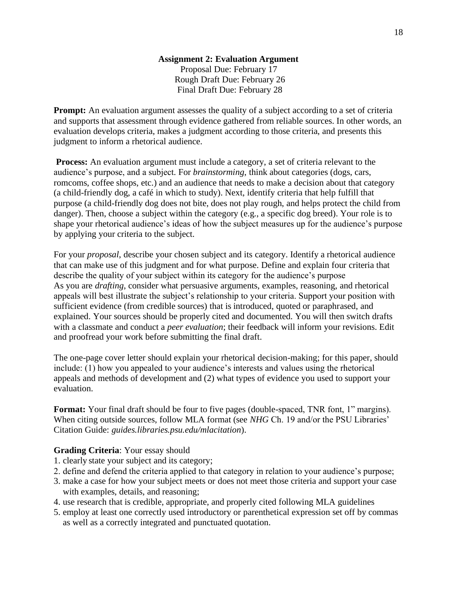### **Assignment 2: Evaluation Argument** Proposal Due: February 17 Rough Draft Due: February 26 Final Draft Due: February 28

**Prompt:** An evaluation argument assesses the quality of a subject according to a set of criteria and supports that assessment through evidence gathered from reliable sources. In other words, an evaluation develops criteria, makes a judgment according to those criteria, and presents this judgment to inform a rhetorical audience.

**Process:** An evaluation argument must include a category, a set of criteria relevant to the audience's purpose, and a subject*.* For *brainstorming*, think about categories (dogs, cars, romcoms, coffee shops, etc.) and an audience that needs to make a decision about that category (a child-friendly dog, a café in which to study). Next, identify criteria that help fulfill that purpose (a child-friendly dog does not bite, does not play rough, and helps protect the child from danger). Then, choose a subject within the category (e.g., a specific dog breed). Your role is to shape your rhetorical audience's ideas of how the subject measures up for the audience's purpose by applying your criteria to the subject.

For your *proposal*, describe your chosen subject and its category. Identify a rhetorical audience that can make use of this judgment and for what purpose. Define and explain four criteria that describe the quality of your subject within its category for the audience's purpose As you are *drafting*, consider what persuasive arguments, examples, reasoning, and rhetorical appeals will best illustrate the subject's relationship to your criteria. Support your position with sufficient evidence (from credible sources) that is introduced, quoted or paraphrased, and explained. Your sources should be properly cited and documented. You will then switch drafts with a classmate and conduct a *peer evaluation*; their feedback will inform your revisions. Edit and proofread your work before submitting the final draft.

The one-page cover letter should explain your rhetorical decision-making; for this paper, should include: (1) how you appealed to your audience's interests and values using the rhetorical appeals and methods of development and (2) what types of evidence you used to support your evaluation.

**Format:** Your final draft should be four to five pages (double-spaced, TNR font, 1" margins). When citing outside sources, follow MLA format (see *NHG* Ch. 19 and/or the PSU Libraries' Citation Guide: *guides.libraries.psu.edu/mlacitation*).

### **Grading Criteria**: Your essay should

- 1. clearly state your subject and its category;
- 2. define and defend the criteria applied to that category in relation to your audience's purpose;
- 3. make a case for how your subject meets or does not meet those criteria and support your case with examples, details, and reasoning;
- 4. use research that is credible, appropriate, and properly cited following MLA guidelines
- 5. employ at least one correctly used introductory or parenthetical expression set off by commas as well as a correctly integrated and punctuated quotation.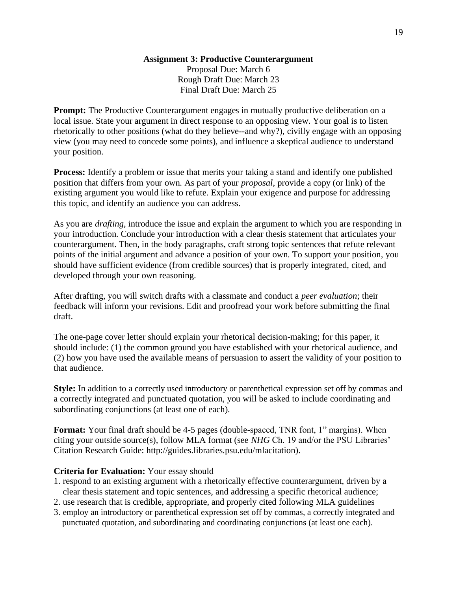### **Assignment 3: Productive Counterargument**

Proposal Due: March 6 Rough Draft Due: March 23 Final Draft Due: March 25

**Prompt:** The Productive Counterargument engages in mutually productive deliberation on a local issue. State your argument in direct response to an opposing view. Your goal is to listen rhetorically to other positions (what do they believe--and why?), civilly engage with an opposing view (you may need to concede some points), and influence a skeptical audience to understand your position.

**Process:** Identify a problem or issue that merits your taking a stand and identify one published position that differs from your own. As part of your *proposal*, provide a copy (or link) of the existing argument you would like to refute. Explain your exigence and purpose for addressing this topic, and identify an audience you can address.

As you are *drafting*, introduce the issue and explain the argument to which you are responding in your introduction. Conclude your introduction with a clear thesis statement that articulates your counterargument. Then, in the body paragraphs, craft strong topic sentences that refute relevant points of the initial argument and advance a position of your own. To support your position, you should have sufficient evidence (from credible sources) that is properly integrated, cited, and developed through your own reasoning.

After drafting, you will switch drafts with a classmate and conduct a *peer evaluation*; their feedback will inform your revisions. Edit and proofread your work before submitting the final draft.

The one-page cover letter should explain your rhetorical decision-making; for this paper, it should include: (1) the common ground you have established with your rhetorical audience, and (2) how you have used the available means of persuasion to assert the validity of your position to that audience.

**Style:** In addition to a correctly used introductory or parenthetical expression set off by commas and a correctly integrated and punctuated quotation, you will be asked to include coordinating and subordinating conjunctions (at least one of each).

**Format:** Your final draft should be 4-5 pages (double-spaced, TNR font, 1" margins). When citing your outside source(s), follow MLA format (see *NHG* Ch. 19 and/or the PSU Libraries' Citation Research Guide: http://guides.libraries.psu.edu/mlacitation).

### **Criteria for Evaluation:** Your essay should

- 1. respond to an existing argument with a rhetorically effective counterargument, driven by a clear thesis statement and topic sentences, and addressing a specific rhetorical audience;
- 2. use research that is credible, appropriate, and properly cited following MLA guidelines
- 3. employ an introductory or parenthetical expression set off by commas, a correctly integrated and punctuated quotation, and subordinating and coordinating conjunctions (at least one each).